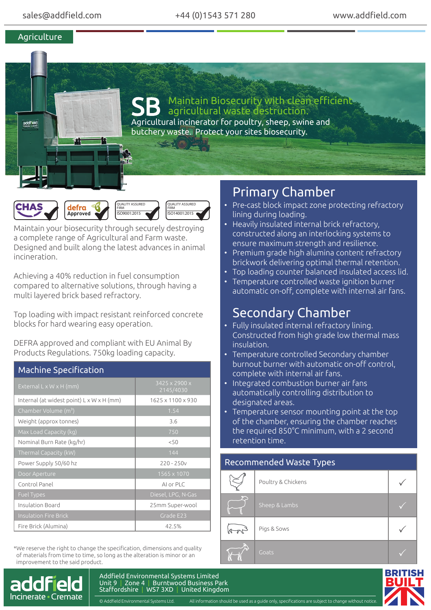#### **Agriculture**





Maintain your biosecurity through securely destroying a complete range of Agricultural and Farm waste. Designed and built along the latest advances in animal incineration.

Achieving a 40% reduction in fuel consumption compared to alternative solutions, through having a multi layered brick based refractory.

Top loading with impact resistant reinforced concrete blocks for hard wearing easy operation.

DEFRA approved and compliant with EU Animal By Products Regulations. 750kg loading capacity.

| <b>Machine Specification</b>                          |                            |  |  |  |  |  |
|-------------------------------------------------------|----------------------------|--|--|--|--|--|
| External $L \times W \times H$ (mm)                   | 3425 x 2900 x<br>2145/4030 |  |  |  |  |  |
| Internal (at widest point) $L \times W \times H$ (mm) | 1625 x 1100 x 930          |  |  |  |  |  |
| Chamber Volume (m <sup>3</sup> )                      | 1.54                       |  |  |  |  |  |
| Weight (approx tonnes)                                | 3.6                        |  |  |  |  |  |
| Max Load Capacity (kg)                                | 750                        |  |  |  |  |  |
| Nominal Burn Rate (kg/hr)                             | < 50                       |  |  |  |  |  |
| Thermal Capacity (kW)                                 | 144                        |  |  |  |  |  |
| Power Supply 50/60 hz                                 | $220 - 250v$               |  |  |  |  |  |
| Door Aperture                                         | 1565 x 1070                |  |  |  |  |  |
| Control Panel                                         | AI or PLC                  |  |  |  |  |  |
| Fuel Types                                            | Diesel, LPG, N-Gas         |  |  |  |  |  |
| Insulation Board                                      | 25mm Super-wool            |  |  |  |  |  |
| <b>Insulation Fire Brick</b>                          | Grade E23                  |  |  |  |  |  |
| Fire Brick (Alumina)                                  | 42.5%                      |  |  |  |  |  |

\*We reserve the right to change the specification, dimensions and quality of materials from time to time, so long as the alteration is minor or an improvement to the said product.



#### Addfield Environmental Systems Limited Unit 9 | Zone 4 | Burntwood Business Park Staffordshire | WS7 3XD | United Kingdom

## Primary Chamber

- Pre-cast block impact zone protecting refractory lining during loading.
- Heavily insulated internal brick refractory, constructed along an interlocking systems to ensure maximum strength and resilience.
- Premium grade high alumina content refractory brickwork delivering optimal thermal retention.
- Top loading counter balanced insulated access lid.
- Temperature controlled waste ignition burner automatic on-off, complete with internal air fans.

# Secondary Chamber

- Fully insulated internal refractory lining. Constructed from high grade low thermal mass insulation.
- Temperature controlled Secondary chamber burnout burner with automatic on-off control, complete with internal air fans.
- Integrated combustion burner air fans automatically controlling distribution to designated areas.
- Temperature sensor mounting point at the top of the chamber, ensuring the chamber reaches the required 850°C minimum, with a 2 second retention time.

#### Recommended Waste Types



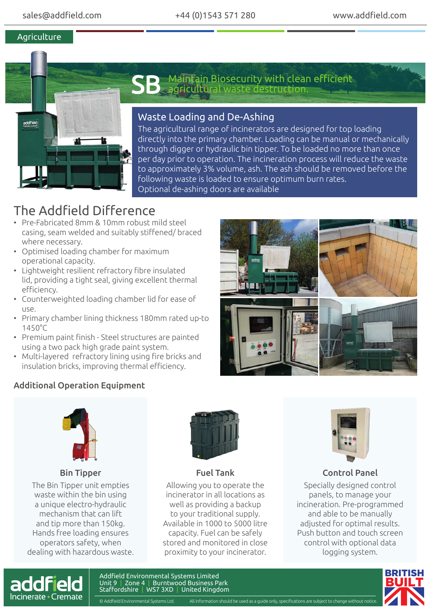### **Agriculture**



#### SB Maintain Biosecurity with clean efficient agricultural waste destruction.

### Waste Loading and De-Ashing

The agricultural range of incinerators are designed for top loading directly into the primary chamber. Loading can be manual or mechanically through digger or hydraulic bin tipper. To be loaded no more than once per day prior to operation. The incineration process will reduce the waste to approximately 3% volume, ash. The ash should be removed before the following waste is loaded to ensure optimum burn rates. Optional de-ashing doors are available

## The Addfield Difference

- Pre-Fabricated 8mm & 10mm robust mild steel casing, seam welded and suitably stiffened/ braced where necessary.
- Optimised loading chamber for maximum operational capacity.
- Lightweight resilient refractory fibre insulated lid, providing a tight seal, giving excellent thermal efficiency.
- Counterweighted loading chamber lid for ease of use.
- Primary chamber lining thickness 180mm rated up-to 1450°C
- Premium paint finish Steel structures are painted using a two pack high grade paint system.
- Multi-layered refractory lining using fire bricks and insulation bricks, improving thermal efficiency.





Bin Tipper

The Bin Tipper unit empties waste within the bin using a unique electro-hydraulic mechanism that can lift and tip more than 150kg. Hands free loading ensures operators safety, when dealing with hazardous waste.



Allowing you to operate the incinerator in all locations as well as providing a backup to your traditional supply. Available in 1000 to 5000 litre capacity. Fuel can be safely stored and monitored in close proximity to your incinerator.





### Fuel Tank Control Panel

Specially designed control panels, to manage your incineration. Pre-programmed and able to be manually adjusted for optimal results. Push button and touch screen control with optional data logging system.



Addfield Environmental Systems Limited Unit 9 | Zone 4 | Burntwood Business Park Staffordshire | WS7 3XD | United Kingdom